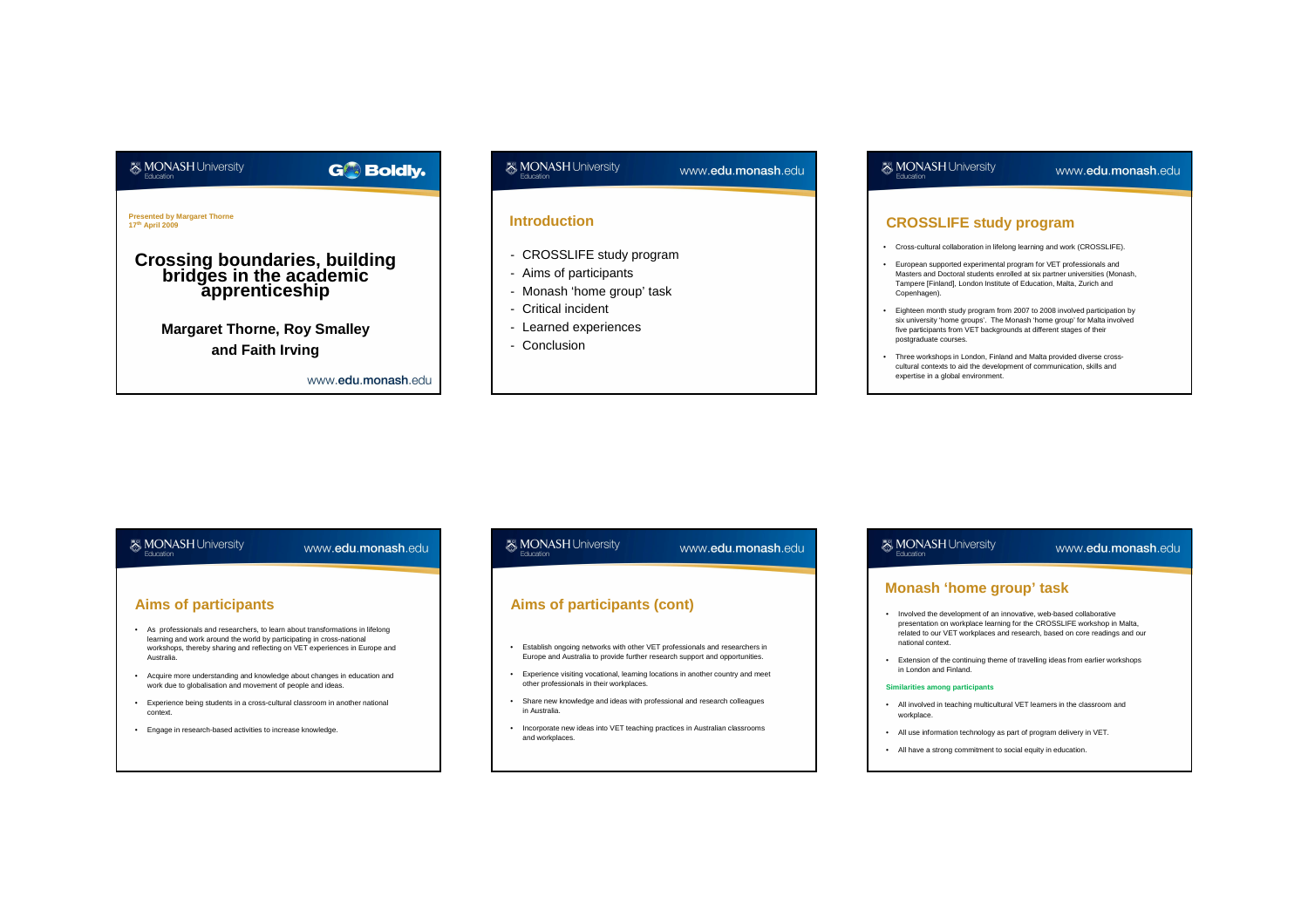

www.edu.monash.edu

www.edu.monash.edu

## **& MONASH University**

www.edu.monash.edu

www.edu.monash.edu

#### **Introduction**

- CROSSLIFE study program
- Aims of participants
- Monash 'home group' task
- Critical incident

**& MONASH University** 

- Learned experiences
- Conclusion

## **& MONASH University**

www.edu.monash.edu

#### **CROSSLIFE study program**

- Cross-cultural collaboration in lifelong learning and work (CROSSLIFE).
- European supported experimental program for VET professionals and Masters and Doctoral students enrolled at six partner universities (Monash, Tampere [Finland], London Institute of Education, Malta, Zurich and Copenhagen).
- Eighteen month study program from 2007 to 2008 involved participation by six university 'home groups'. The Monash 'home group' for Malta involved five participants from VET backgrounds at different stages of their postgraduate courses.
- Three workshops in London, Finland and Malta provided diverse crosscultural contexts to aid the development of communication, skills and expertise in a global environment.

## **Aims of participants**

**& MONASH University** 

- As professionals and researchers, to learn about transformations in lifelong learning and work around the world by participating in cross-national workshops, thereby sharing and reflecting on VET experiences in Europe and Australia.
- Acquire more understanding and knowledge about changes in education and work due to globalisation and movement of people and ideas.
- Experience being students in a cross-cultural classroom in another national context.
- Engage in research-based activities to increase knowledge.

# **Aims of participants (cont)**

- Establish ongoing networks with other VET professionals and researchers in Europe and Australia to provide further research support and opportunities.
- Experience visiting vocational, learning locations in another country and meet other professionals in their workplaces.
- Share new knowledge and ideas with professional and research colleagues in Australia.
- Incorporate new ideas into VET teaching practices in Australian classrooms and workplaces.

## **& MONASH University**

#### www.edu.monash.edu

#### **Monash 'home group' task**

- Involved the development of an innovative, web-based collaborative presentation on workplace learning for the CROSSLIFE workshop in Malta, related to our VET workplaces and research, based on core readings and our national context.
- Extension of the continuing theme of travelling ideas from earlier workshops in London and Finland.

#### **Similarities among participants**

- All involved in teaching multicultural VET learners in the classroom and workplace.
- All use information technology as part of program delivery in VET.
- All have a strong commitment to social equity in education.